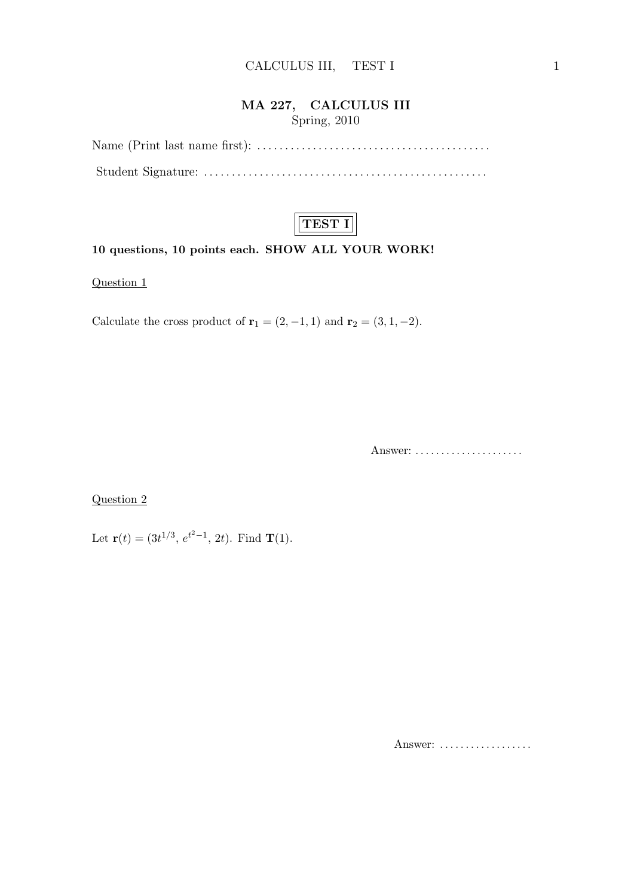## MA 227, CALCULUS III Spring, 2010

Name (Print last name first): . . . . . . . . . . . . . . . . . . . . . . . . . . . . . . . . . . . . . . . . . . Student Signature: . . . . . . . . . . . . . . . . . . . . . . . . . . . . . . . . . . . . . . . . . . . . . . . . . . .



#### 10 questions, 10 points each. SHOW ALL YOUR WORK!

Question 1

Calculate the cross product of  $\mathbf{r}_1 = (2, -1, 1)$  and  $\mathbf{r}_2 = (3, 1, -2)$ .

Answer: . . . . . . . . . . . . . . . . . . . . .

Question 2

Let  $\mathbf{r}(t) = (3t^{1/3}, e^{t^2-1}, 2t)$ . Find **T**(1).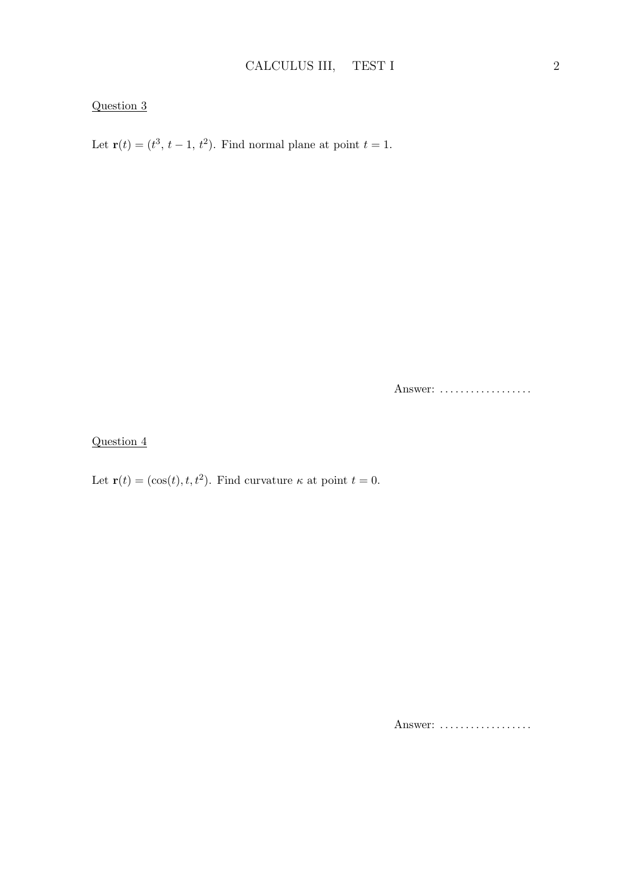Let  $\mathbf{r}(t) = (t^3, t-1, t^2)$ . Find normal plane at point  $t = 1$ .

Answer: ..................

## Question 4

Let  $\mathbf{r}(t) = (\cos(t), t, t^2)$ . Find curvature  $\kappa$  at point  $t = 0$ .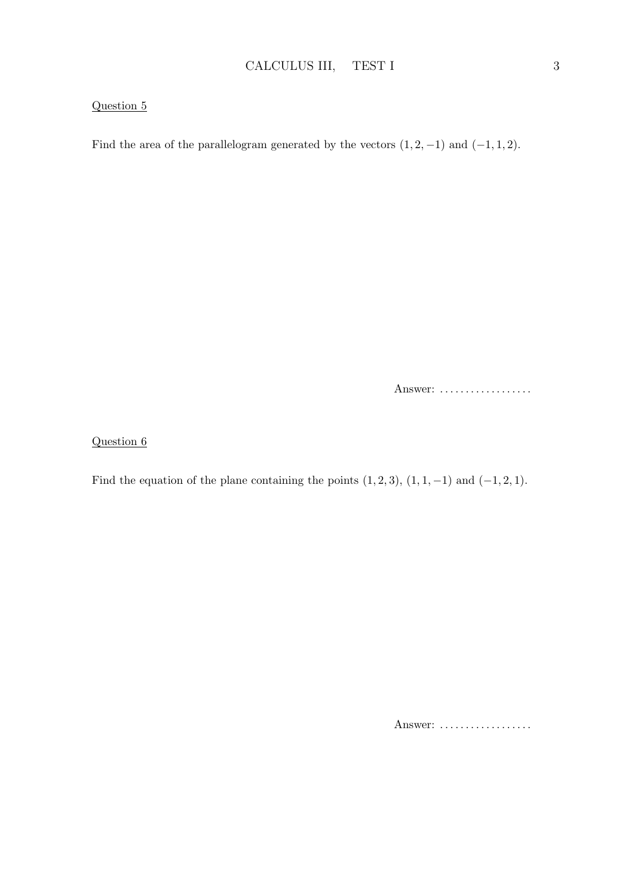Find the area of the parallelogram generated by the vectors  $(1, 2, -1)$  and  $(-1, 1, 2)$ .

Answer: ...................

Question 6

Find the equation of the plane containing the points  $(1, 2, 3)$ ,  $(1, 1, -1)$  and  $(-1, 2, 1)$ .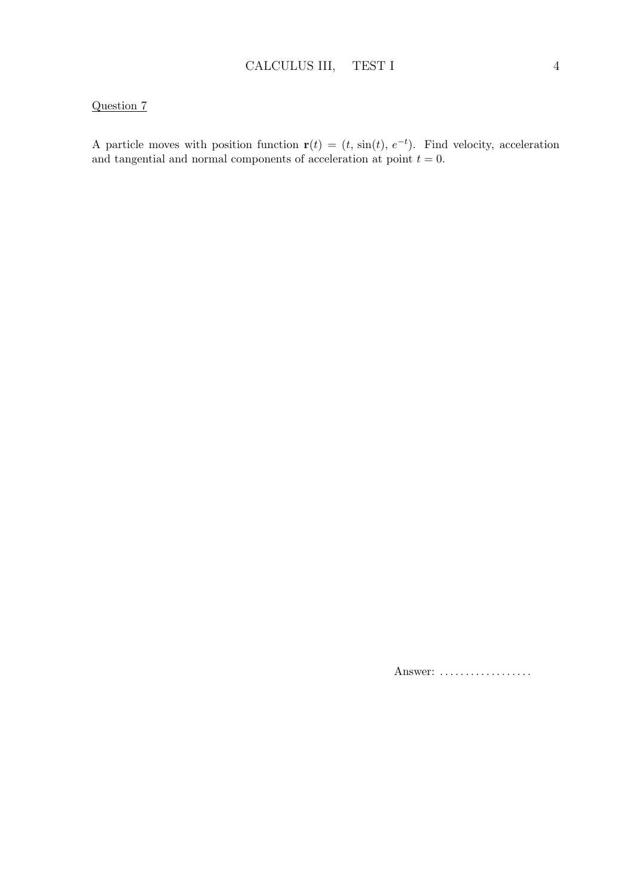A particle moves with position function  $\mathbf{r}(t) = (t, \sin(t), e^{-t})$ . Find velocity, acceleration and tangential and normal components of acceleration at point  $t = 0$ .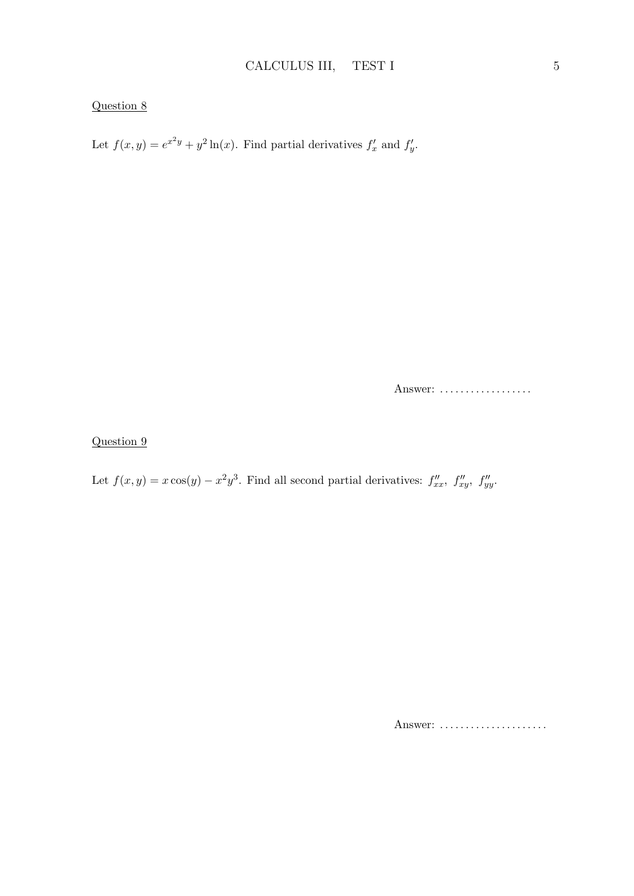Let  $f(x, y) = e^{x^2y} + y^2 \ln(x)$ . Find partial derivatives  $f'_x$  and  $f'_y$ .

Answer: ..................

#### Question 9

Let  $f(x, y) = x \cos(y) - x^2 y^3$ . Find all second partial derivatives:  $f''_{xx}$ ,  $f''_{xy}$ ,  $f''_{yy}$ .